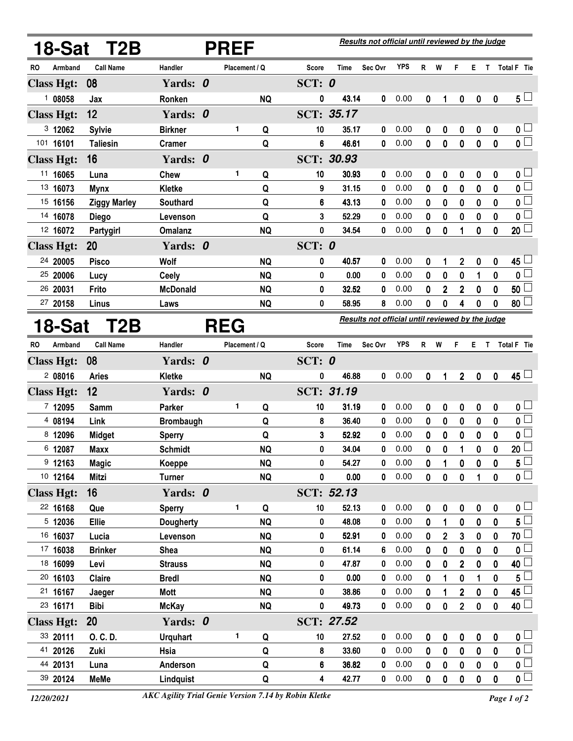|                   | <b>18-Sat T2B</b>   |                  |  | Results not official until reviewed by the judge |           |                                                  |                   |             |            |              |             |                         |                  |              |                          |
|-------------------|---------------------|------------------|--|--------------------------------------------------|-----------|--------------------------------------------------|-------------------|-------------|------------|--------------|-------------|-------------------------|------------------|--------------|--------------------------|
| RO<br>Armband     | <b>Call Name</b>    | Handler          |  | Placement / Q                                    |           | Score                                            | Time              | Sec Ovr     | <b>YPS</b> | R            | W           | F                       | Е.               | $\mathbf{T}$ | Total F Tie              |
| <b>Class Hgt:</b> | 08                  | Yards: 0         |  |                                                  |           | SCT: $0$                                         |                   |             |            |              |             |                         |                  |              |                          |
| 108058            | Jax                 | Ronken           |  |                                                  | <b>NQ</b> | 0                                                | 43.14             | 0           | 0.00       | 0            | 1           | $\boldsymbol{0}$        | $\boldsymbol{0}$ | $\mathbf 0$  | $5\perp$                 |
| <b>Class Hgt:</b> | 12                  | Yards: 0         |  |                                                  |           |                                                  | SCT: 35.17        |             |            |              |             |                         |                  |              |                          |
| 3 12062           | <b>Sylvie</b>       | <b>Birkner</b>   |  | 1                                                | Q         | 10                                               | 35.17             | 0           | 0.00       | 0            | 0           | 0                       | 0                | 0            | 0 <sub>0</sub>           |
| 101 16101         | <b>Taliesin</b>     | <b>Cramer</b>    |  |                                                  | Q         | 6                                                | 46.61             | 0           | 0.00       | 0            | 0           | $\mathbf 0$             | 0                | 0            | $\overline{0}$           |
| <b>Class Hgt:</b> | 16                  | Yards: 0         |  |                                                  |           |                                                  | <b>SCT: 30.93</b> |             |            |              |             |                         |                  |              |                          |
| 11 16065          | Luna                | <b>Chew</b>      |  | 1                                                | Q         | 10                                               | 30.93             | 0           | 0.00       | 0            | 0           | 0                       | 0                | 0            | 0 <sub>1</sub>           |
| 13 16073          | <b>Mynx</b>         | Kletke           |  |                                                  | Q         | 9                                                | 31.15             | 0           | 0.00       | 0            | 0           | 0                       | 0                | 0            | $\overline{\mathbf{0}}$  |
| 15 16156          | <b>Ziggy Marley</b> | Southard         |  |                                                  | Q         | 6                                                | 43.13             | 0           | 0.00       | 0            | 0           | 0                       | 0                | 0            | $\overline{\mathbf{0}}$  |
| 14 16078          | <b>Diego</b>        | Levenson         |  |                                                  | Q         | 3                                                | 52.29             | 0           | 0.00       | 0            | 0           | 0                       | 0                | 0            | 0 <sup>L</sup>           |
| 12 16072          | Partygirl           | <b>Omalanz</b>   |  |                                                  | <b>NQ</b> | 0                                                | 34.54             | 0           | 0.00       | 0            | 0           | 1                       | 0                | 0            | $\overline{20}$          |
| <b>Class Hgt:</b> | 20                  | Yards: 0         |  |                                                  |           | SCT: 0                                           |                   |             |            |              |             |                         |                  |              |                          |
| 24 20005          | <b>Pisco</b>        | Wolf             |  |                                                  | <b>NQ</b> | 0                                                | 40.57             | 0           | 0.00       | 0            | 1           | $\overline{\mathbf{2}}$ | 0                | 0            | 45 L                     |
| 25 20006          | Lucy                | <b>Ceely</b>     |  |                                                  | <b>NQ</b> | 0                                                | 0.00              | 0           | 0.00       | 0            | 0           | 0                       | 1                | 0            | $\mathfrak{o} \sqsubset$ |
| 26 20031          | Frito               | <b>McDonald</b>  |  |                                                  | <b>NQ</b> | 0                                                | 32.52             | 0           | 0.00       | 0            | 2           | $\overline{\mathbf{c}}$ | 0                | 0            | 50                       |
| 27 20158          | Linus               | Laws             |  |                                                  | <b>NQ</b> | 0                                                | 58.95             | 8           | 0.00       | 0            | 0           | 4                       | 0                | 0            | 80 <sup>1</sup>          |
| 18-Sat            | T2B                 | <b>REG</b>       |  |                                                  |           | Results not official until reviewed by the judge |                   |             |            |              |             |                         |                  |              |                          |
| RO<br>Armband     | <b>Call Name</b>    | Handler          |  | Placement / Q                                    |           | <b>Score</b>                                     | <b>Time</b>       | Sec Ovr     | <b>YPS</b> | R            | W           | F                       | Е.               | $\mathsf T$  | Total F Tie              |
| <b>Class Hgt:</b> | 08                  | Yards: 0         |  |                                                  |           | SCT: $0$                                         |                   |             |            |              |             |                         |                  |              |                          |
| 208016            | <b>Aries</b>        | <b>Kletke</b>    |  |                                                  | <b>NQ</b> | 0                                                | 46.88             | 0           | 0.00       | 0            | 1           | $\overline{2}$          | $\mathbf 0$      | $\mathbf 0$  | $45 -$                   |
| <b>Class Hgt:</b> | 12                  | Yards: 0         |  |                                                  |           |                                                  | SCT: 31.19        |             |            |              |             |                         |                  |              |                          |
| 7 12095           | Samm                | Parker           |  | 1                                                | Q         | 10                                               | 31.19             | 0           | 0.00       | 0            | 0           | 0                       | 0                | 0            | 0 <sub>1</sub>           |
| 4 08194           | Link                | <b>Brombaugh</b> |  |                                                  | Q         | 8                                                | 36.40             | 0           | 0.00       | 0            | 0           | 0                       | 0                | 0            | $\overline{\mathbf{0}}$  |
| 8 12096           | <b>Midget</b>       | <b>Sperry</b>    |  |                                                  | Q         | 3                                                | 52.92             | 0           | 0.00       | 0            | 0           | 0                       | 0                | 0            | $\mathbf{0}$             |
| 6 12087           | <b>Maxx</b>         | <b>Schmidt</b>   |  |                                                  | <b>NQ</b> | 0                                                | 34.04             | 0           | 0.00       | 0            | 0           | 1                       | 0                | 0            | $\overline{20}$          |
| $9$ 12163         | <b>Magic</b>        | Koeppe           |  |                                                  | <b>NQ</b> | 0                                                | 54.27             | 0           | 0.00       | 0            | 1           | $\mathbf 0$             | 0                | 0            | $5\perp$                 |
| 10 12164          | <b>Mitzi</b>        | <b>Turner</b>    |  |                                                  | <b>NQ</b> | 0                                                | 0.00              | $\mathbf 0$ | 0.00       | $\mathbf 0$  | $\pmb{0}$   | $\pmb{0}$               | 1                | 0            | $\overline{\mathbf{0}}$  |
| <b>Class Hgt:</b> | 16                  | Yards: 0         |  |                                                  |           |                                                  | SCT: 52.13        |             |            |              |             |                         |                  |              |                          |
| 22 16168          | Que                 | <b>Sperry</b>    |  | 1                                                | Q         | 10                                               | 52.13             | 0           | 0.00       | 0            | $\pmb{0}$   | $\pmb{0}$               | $\pmb{0}$        | 0            | 0 <sub>0</sub>           |
| 5 12036           | Ellie               | Dougherty        |  |                                                  | <b>NQ</b> | 0                                                | 48.08             | 0           | 0.00       | 0            | 1           | 0                       | $\mathbf 0$      | 0            | $\mathbf{5}^{\top}$      |
| 16 16037          | Lucia               | Levenson         |  |                                                  | <b>NQ</b> | 0                                                | 52.91             | 0           | 0.00       | 0            | 2           | 3                       | 0                | 0            | 70                       |
| 17 16038          | <b>Brinker</b>      | Shea             |  |                                                  | <b>NQ</b> | 0                                                | 61.14             | 6           | 0.00       | 0            | 0           | $\mathbf 0$             | 0                | 0            | $\mathbf 0$              |
| 18 16099          | Levi                | <b>Strauss</b>   |  |                                                  | <b>NQ</b> | 0                                                | 47.87             | 0           | 0.00       | 0            | 0           | $\overline{2}$          | 0                | 0            | 40                       |
| 20 16103          | Claire              | <b>Bredl</b>     |  |                                                  | <b>NQ</b> | 0                                                | 0.00              | 0           | 0.00       | 0            | 1           | 0                       | 1                | 0            | $5^{\perp}$              |
| 21 16167          | Jaeger              | Mott             |  |                                                  | <b>NQ</b> | 0                                                | 38.86             | 0           | 0.00       | 0            | 1           | $\overline{2}$          | 0                | 0            | 45                       |
| 23 16171          | <b>Bibi</b>         | <b>McKay</b>     |  |                                                  | <b>NQ</b> | $\pmb{0}$                                        | 49.73             | 0           | 0.00       | $\mathbf{0}$ | $\pmb{0}$   | $\overline{2}$          | $\boldsymbol{0}$ | $\mathbf 0$  | $40\perp$                |
| <b>Class Hgt:</b> | 20                  | Yards: 0         |  |                                                  |           |                                                  | SCT: 27.52        |             |            |              |             |                         |                  |              |                          |
| 33 20111          | O. C. D.            | <b>Urquhart</b>  |  | 1                                                | Q         | 10                                               | 27.52             | 0           | 0.00       | 0            | 0           | $\pmb{0}$               | $\boldsymbol{0}$ | 0            | 0 <sub>1</sub>           |
| 41 20126          | Zuki                | Hsia             |  |                                                  | Q         | 8                                                | 33.60             | 0           | 0.00       | $\mathbf{0}$ | $\mathbf 0$ | $\mathbf 0$             | $\mathbf 0$      | 0            | $\mathfrak{o} \sqsubset$ |
| 44 20131          | Luna                | Anderson         |  |                                                  | Q         | 6                                                | 36.82             | 0           | 0.00       | 0            | 0           | 0                       | 0                | 0            | $\mathbf{0}$             |
| 39 20124          | <b>MeMe</b>         | Lindquist        |  |                                                  | Q         | 4                                                | 42.77             | 0           | 0.00       | 0            | 0           | $\pmb{0}$               | $\pmb{0}$        | 0            | $\overline{\mathbf{0}}$  |